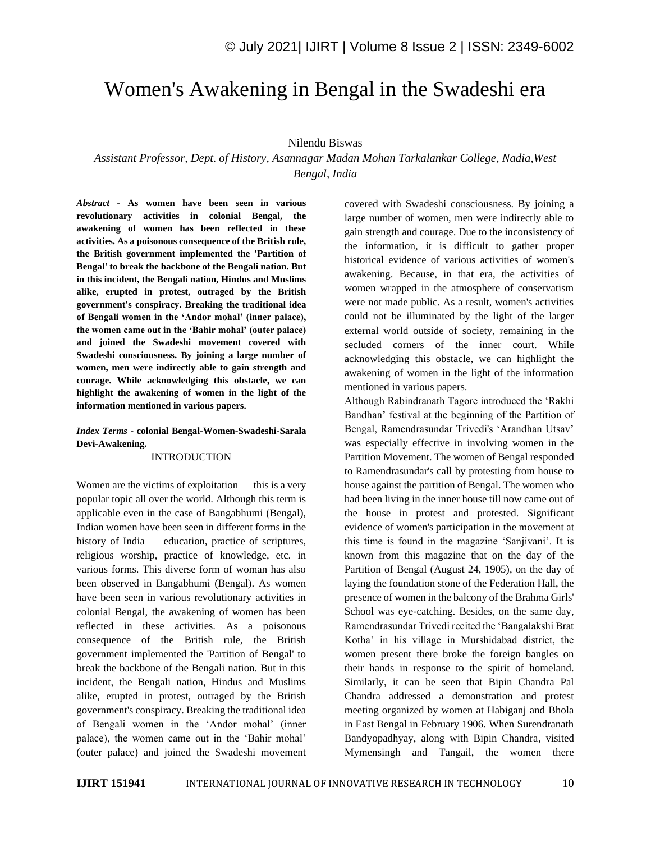# Women's Awakening in Bengal in the Swadeshi era

## Nilendu Biswas

*Assistant Professor, Dept. of History, Asannagar Madan Mohan Tarkalankar College, Nadia,West Bengal, India*

*Abstract -* **As women have been seen in various revolutionary activities in colonial Bengal, the awakening of women has been reflected in these activities. As a poisonous consequence of the British rule, the British government implemented the 'Partition of Bengal' to break the backbone of the Bengali nation. But in this incident, the Bengali nation, Hindus and Muslims alike, erupted in protest, outraged by the British government's conspiracy. Breaking the traditional idea of Bengali women in the 'Andor mohal' (inner palace), the women came out in the 'Bahir mohal' (outer palace) and joined the Swadeshi movement covered with Swadeshi consciousness. By joining a large number of women, men were indirectly able to gain strength and courage. While acknowledging this obstacle, we can highlight the awakening of women in the light of the information mentioned in various papers.**

## *Index Terms -* **colonial Bengal-Women-Swadeshi-Sarala Devi-Awakening.**

#### INTRODUCTION

Women are the victims of exploitation — this is a very popular topic all over the world. Although this term is applicable even in the case of Bangabhumi (Bengal), Indian women have been seen in different forms in the history of India — education, practice of scriptures, religious worship, practice of knowledge, etc. in various forms. This diverse form of woman has also been observed in Bangabhumi (Bengal). As women have been seen in various revolutionary activities in colonial Bengal, the awakening of women has been reflected in these activities. As a poisonous consequence of the British rule, the British government implemented the 'Partition of Bengal' to break the backbone of the Bengali nation. But in this incident, the Bengali nation, Hindus and Muslims alike, erupted in protest, outraged by the British government's conspiracy. Breaking the traditional idea of Bengali women in the 'Andor mohal' (inner palace), the women came out in the 'Bahir mohal' (outer palace) and joined the Swadeshi movement covered with Swadeshi consciousness. By joining a large number of women, men were indirectly able to gain strength and courage. Due to the inconsistency of the information, it is difficult to gather proper historical evidence of various activities of women's awakening. Because, in that era, the activities of women wrapped in the atmosphere of conservatism were not made public. As a result, women's activities could not be illuminated by the light of the larger external world outside of society, remaining in the secluded corners of the inner court. While acknowledging this obstacle, we can highlight the awakening of women in the light of the information mentioned in various papers.

Although Rabindranath Tagore introduced the 'Rakhi Bandhan' festival at the beginning of the Partition of Bengal, Ramendrasundar Trivedi's 'Arandhan Utsav' was especially effective in involving women in the Partition Movement. The women of Bengal responded to Ramendrasundar's call by protesting from house to house against the partition of Bengal. The women who had been living in the inner house till now came out of the house in protest and protested. Significant evidence of women's participation in the movement at this time is found in the magazine 'Sanjivani'. It is known from this magazine that on the day of the Partition of Bengal (August 24, 1905), on the day of laying the foundation stone of the Federation Hall, the presence of women in the balcony of the Brahma Girls' School was eye-catching. Besides, on the same day, Ramendrasundar Trivedi recited the 'Bangalakshi Brat Kotha' in his village in Murshidabad district, the women present there broke the foreign bangles on their hands in response to the spirit of homeland. Similarly, it can be seen that Bipin Chandra Pal Chandra addressed a demonstration and protest meeting organized by women at Habiganj and Bhola in East Bengal in February 1906. When Surendranath Bandyopadhyay, along with Bipin Chandra, visited Mymensingh and Tangail, the women there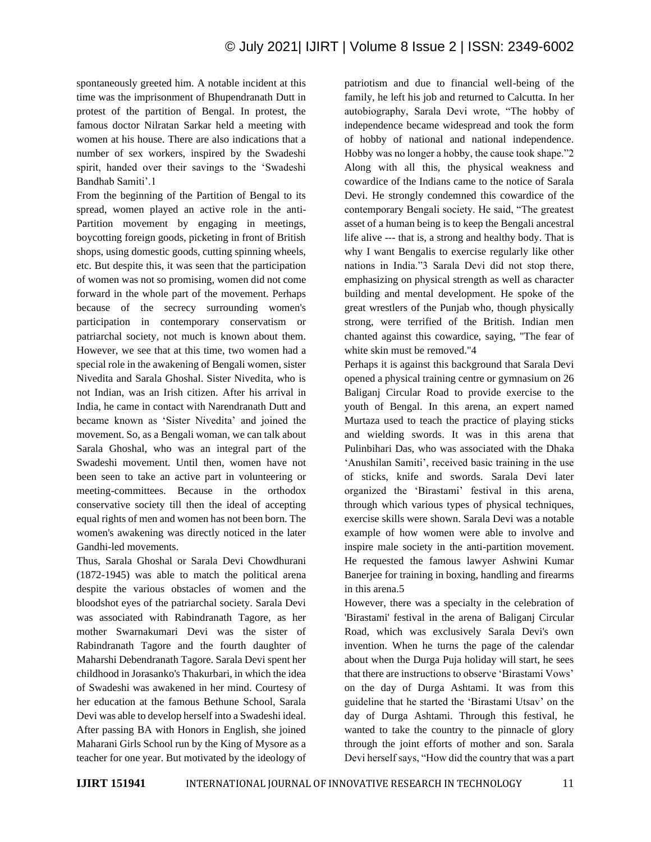spontaneously greeted him. A notable incident at this time was the imprisonment of Bhupendranath Dutt in protest of the partition of Bengal. In protest, the famous doctor Nilratan Sarkar held a meeting with women at his house. There are also indications that a number of sex workers, inspired by the Swadeshi spirit, handed over their savings to the 'Swadeshi Bandhab Samiti'.1

From the beginning of the Partition of Bengal to its spread, women played an active role in the anti-Partition movement by engaging in meetings, boycotting foreign goods, picketing in front of British shops, using domestic goods, cutting spinning wheels, etc. But despite this, it was seen that the participation of women was not so promising, women did not come forward in the whole part of the movement. Perhaps because of the secrecy surrounding women's participation in contemporary conservatism or patriarchal society, not much is known about them. However, we see that at this time, two women had a special role in the awakening of Bengali women, sister Nivedita and Sarala Ghoshal. Sister Nivedita, who is not Indian, was an Irish citizen. After his arrival in India, he came in contact with Narendranath Dutt and became known as 'Sister Nivedita' and joined the movement. So, as a Bengali woman, we can talk about Sarala Ghoshal, who was an integral part of the Swadeshi movement. Until then, women have not been seen to take an active part in volunteering or meeting-committees. Because in the orthodox conservative society till then the ideal of accepting equal rights of men and women has not been born. The women's awakening was directly noticed in the later Gandhi-led movements.

Thus, Sarala Ghoshal or Sarala Devi Chowdhurani (1872-1945) was able to match the political arena despite the various obstacles of women and the bloodshot eyes of the patriarchal society. Sarala Devi was associated with Rabindranath Tagore, as her mother Swarnakumari Devi was the sister of Rabindranath Tagore and the fourth daughter of Maharshi Debendranath Tagore. Sarala Devi spent her childhood in Jorasanko's Thakurbari, in which the idea of Swadeshi was awakened in her mind. Courtesy of her education at the famous Bethune School, Sarala Devi was able to develop herself into a Swadeshi ideal. After passing BA with Honors in English, she joined Maharani Girls School run by the King of Mysore as a teacher for one year. But motivated by the ideology of

patriotism and due to financial well-being of the family, he left his job and returned to Calcutta. In her autobiography, Sarala Devi wrote, "The hobby of independence became widespread and took the form of hobby of national and national independence. Hobby was no longer a hobby, the cause took shape."2 Along with all this, the physical weakness and cowardice of the Indians came to the notice of Sarala Devi. He strongly condemned this cowardice of the contemporary Bengali society. He said, "The greatest asset of a human being is to keep the Bengali ancestral life alive --- that is, a strong and healthy body. That is why I want Bengalis to exercise regularly like other nations in India."3 Sarala Devi did not stop there, emphasizing on physical strength as well as character building and mental development. He spoke of the great wrestlers of the Punjab who, though physically strong, were terrified of the British. Indian men chanted against this cowardice, saying, "The fear of white skin must be removed."4

Perhaps it is against this background that Sarala Devi opened a physical training centre or gymnasium on 26 Baliganj Circular Road to provide exercise to the youth of Bengal. In this arena, an expert named Murtaza used to teach the practice of playing sticks and wielding swords. It was in this arena that Pulinbihari Das, who was associated with the Dhaka 'Anushilan Samiti', received basic training in the use of sticks, knife and swords. Sarala Devi later organized the 'Birastami' festival in this arena, through which various types of physical techniques, exercise skills were shown. Sarala Devi was a notable example of how women were able to involve and inspire male society in the anti-partition movement. He requested the famous lawyer Ashwini Kumar Banerjee for training in boxing, handling and firearms in this arena.5

However, there was a specialty in the celebration of 'Birastami' festival in the arena of Baliganj Circular Road, which was exclusively Sarala Devi's own invention. When he turns the page of the calendar about when the Durga Puja holiday will start, he sees that there are instructions to observe 'Birastami Vows' on the day of Durga Ashtami. It was from this guideline that he started the 'Birastami Utsav' on the day of Durga Ashtami. Through this festival, he wanted to take the country to the pinnacle of glory through the joint efforts of mother and son. Sarala Devi herself says, "How did the country that was a part